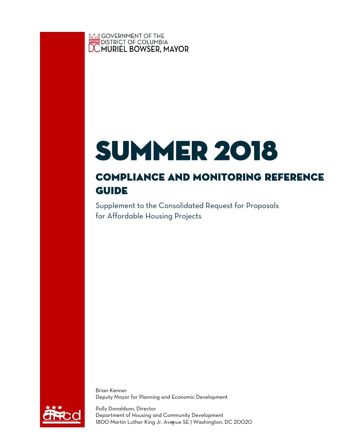**<u> Netart</u> GOVERNMENT OF THE**<br>DISTRICT OF COLUMBIA<br>**DC MURIEL BOWSER, MAYOR** 

# **SUMMER 2018**

## COMPLIANCE AND MONITORING REFERENCE<br>GUIDE **GUIDE**

Supplement to the Consolidated Request for Proposals for Affordable Housing Projects

Brian Kenner Deputy Mayor for Planning and Economic Development



1 1800 Martin Luther King Jr. Avenue SE | Washington, DC 20020 Polly Donaldson, Director Department of Housing and Community Development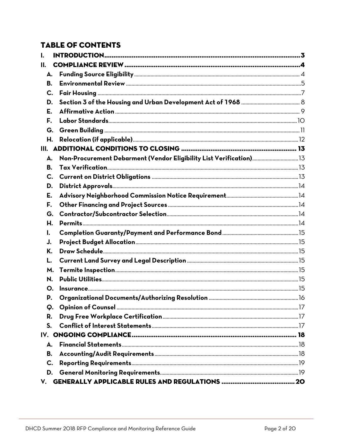#### **TABLE OF CONTENTS**

| ı.  |                                                                     |  |
|-----|---------------------------------------------------------------------|--|
| II. |                                                                     |  |
| А.  |                                                                     |  |
| В.  |                                                                     |  |
| C.  |                                                                     |  |
| D.  |                                                                     |  |
| Е.  |                                                                     |  |
| F.  |                                                                     |  |
| G.  |                                                                     |  |
| Н.  |                                                                     |  |
|     |                                                                     |  |
| А.  | Non-Procurement Debarment (Vendor Eligibility List Verification) 13 |  |
| В.  |                                                                     |  |
| C.  |                                                                     |  |
| D.  |                                                                     |  |
| E.  |                                                                     |  |
| F.  |                                                                     |  |
| G.  |                                                                     |  |
| Н.  |                                                                     |  |
| I.  |                                                                     |  |
| J.  |                                                                     |  |
| Κ.  |                                                                     |  |
| L.  |                                                                     |  |
| M.  |                                                                     |  |
| N.  |                                                                     |  |
| Ο.  |                                                                     |  |
| P.  |                                                                     |  |
| Q.  |                                                                     |  |
| R.  |                                                                     |  |
| S.  |                                                                     |  |
|     |                                                                     |  |
| Δ.  |                                                                     |  |
| В.  |                                                                     |  |
| C.  |                                                                     |  |
| D.  |                                                                     |  |
|     |                                                                     |  |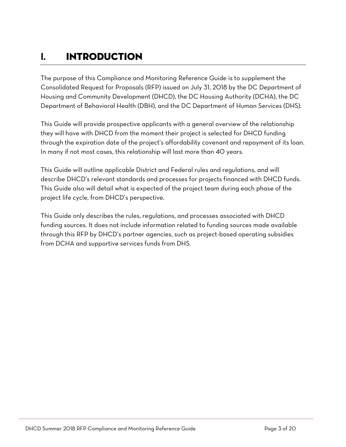### <span id="page-2-0"></span>**I.** Introduction

The purpose of this Compliance and Monitoring Reference Guide is to supplement the Consolidated Request for Proposals (RFP) issued on July 31, 2018 by the DC Department of Housing and Community Development (DHCD), the DC Housing Authority (DCHA), the DC Department of Behavioral Health (DBH), and the DC Department of Human Services (DHS).

This Guide will provide prospective applicants with a general overview of the relationship they will have with DHCD from the moment their project is selected for DHCD funding through the expiration date of the project's affordability covenant and repayment of its loan. In many if not most cases, this relationship will last more than 40 years.

This Guide will outline applicable District and Federal rules and regulations, and will describe DHCD's relevant standards and processes for projects financed with DHCD funds. This Guide also will detail what is expected of the project team during each phase of the project life cycle, from DHCD's perspective.

This Guide only describes the rules, regulations, and processes associated with DHCD funding sources. It does not include information related to funding sources made available through this RFP by DHCD's partner agencies, such as project-based operating subsidies from DCHA and supportive services funds from DHS.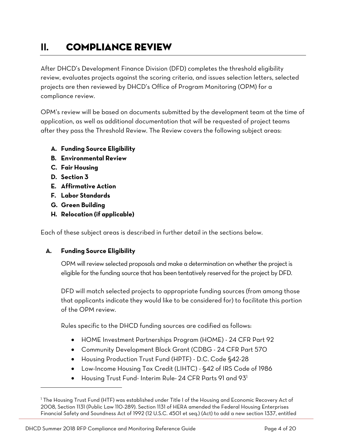## <span id="page-3-0"></span>**II.** Compliance Review

After DHCD's Development Finance Division (DFD) completes the threshold eligibility review, evaluates projects against the scoring criteria, and issues selection letters, selected projects are then reviewed by DHCD's Office of Program Monitoring (OPM) for a compliance review.

OPM's review will be based on documents submitted by the development team at the time of application, as well as additional documentation that will be requested of project teams after they pass the Threshold Review. The Review covers the following subject areas:

- **A. Funding Source Eligibility**
- **B. Environmental Review**
- **C. Fair Housing**
- **D. Section 3**

 $\overline{a}$ 

- **E. Affirmative Action**
- **F. Labor Standards**
- **G. Green Building**
- **H. Relocation (if applicable)**

Each of these subject areas is described in further detail in the sections below.

#### <span id="page-3-1"></span>**A. Funding Source Eligibility**

OPM will review selected proposals and make a determination on whether the project is eligible for the funding source that has been tentatively reserved for the project by DFD.

DFD will match selected projects to appropriate funding sources (from among those that applicants indicate they would like to be considered for) to facilitate this portion of the OPM review.

Rules specific to the DHCD funding sources are codified as follows:

- HOME Investment Partnerships Program (HOME) 24 CFR Part 92
- Community Development Block Grant (CDBG 24 CFR Part 570
- Housing Production Trust Fund (HPTF) D.C. Code §42-28
- Low-Income Housing Tax Credit (LIHTC) §42 of IRS Code of 1986
- $\bullet$  Housing Trust Fund- Interim Rule- 24 CFR Parts 91 and 93<sup>1</sup>

<sup>&</sup>lt;sup>1</sup> The Housing Trust Fund (HTF) was established under Title I of the Housing and Economic Recovery Act of 2008, Section 1131 (Public Law 110-289). Section 1131 of HERA amended the Federal Housing Enterprises Financial Safety and Soundness Act of 1992 (12 U.S.C. 4501 et seq.) (Act) to add a new section 1337, entitled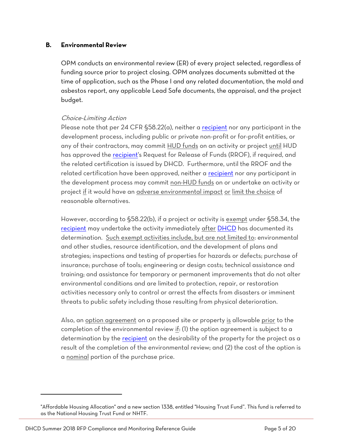#### <span id="page-4-0"></span>**B. Environmental Review**

OPM conducts an environmental review (ER) of every project selected, regardless of funding source prior to project closing. OPM analyzes documents submitted at the time of application, such as the Phase I and any related documentation, the mold and asbestos report, any applicable Lead Safe documents, the appraisal, and the project budget.

#### Choice-Limiting Action

Please note that per 24 CFR §58.22(a), neither a [recipient](https://www.law.cornell.edu/definitions/index.php?width=840&height=800&iframe=true&def_id=6bc18d2b5ded2f3b46ff58e1986b6949&term_occur=1&term_src=Title:24:Subtitle:A:Part:58:Subpart:C:58.22) nor any participant in the development process, including public or private non-profit or for-profit entities, or any of their contractors, may commit HUD funds on an activity or project until HUD has approved the [recipient's](https://www.law.cornell.edu/definitions/index.php?width=840&height=800&iframe=true&def_id=6bc18d2b5ded2f3b46ff58e1986b6949&term_occur=2&term_src=Title:24:Subtitle:A:Part:58:Subpart:C:58.22) Request for Release of Funds (RROF), if required, and the related certification is issued by DHCD. Furthermore, until the RROF and the related certification have been approved, neither a [recipient](https://www.law.cornell.edu/definitions/index.php?width=840&height=800&iframe=true&def_id=6bc18d2b5ded2f3b46ff58e1986b6949&term_occur=3&term_src=Title:24:Subtitle:A:Part:58:Subpart:C:58.22) nor any participant in the development process may commit non-HUD funds on or undertake an activity or project if it would have an adverse environmental impact or limit the choice of reasonable alternatives.

However, according to §58.22(b), if a project or activity is exempt under §58.34, the [recipient](https://www.law.cornell.edu/definitions/index.php?width=840&height=800&iframe=true&def_id=6bc18d2b5ded2f3b46ff58e1986b6949&term_occur=4&term_src=Title:24:Subtitle:A:Part:58:Subpart:C:58.22) may undertake the activity immediately after [DHCD](https://www.law.cornell.edu/definitions/index.php?width=840&height=800&iframe=true&def_id=bed963b519a9395bfe6bbbea694c6773&term_occur=2&term_src=Title:24:Subtitle:A:Part:58:Subpart:C:58.22) has documented its determination. Such exempt activities include, but are not limited to: environmental and other studies, resource identification, and the development of plans and strategies; inspections and testing of properties for hazards or defects; purchase of insurance; purchase of tools; engineering or design costs; technical assistance and training; and assistance for temporary or permanent improvements that do not alter environmental conditions and are limited to protection, repair, or restoration activities necessary only to control or arrest the effects from disasters or imminent threats to public safety including those resulting from physical deterioration.

Also, an option agreement on a proposed site or property is allowable prior to the completion of the environmental review if: (1) the option agreement is subject to a determination by the [recipient](https://www.law.cornell.edu/definitions/index.php?width=840&height=800&iframe=true&def_id=6bc18d2b5ded2f3b46ff58e1986b6949&term_occur=9&term_src=Title:24:Subtitle:A:Part:58:Subpart:C:58.22) on the desirability of the property for the project as a result of the completion of the environmental review; and (2) the cost of the option is a nominal portion of the purchase price.

l

<sup>&</sup>quot;Affordable Housing Allocation" and a new section 1338, entitled "Housing Trust Fund". This fund is referred to as the National Housing Trust Fund or NHTF.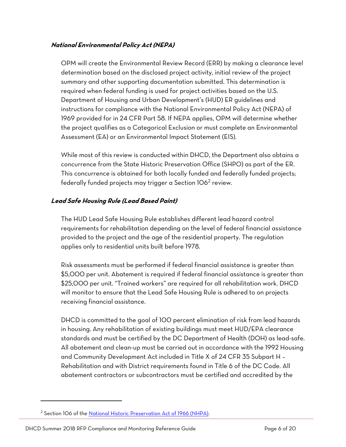#### **National Environmental Policy Act (NEPA)**

OPM will create the Environmental Review Record (ERR) by making a clearance level determination based on the disclosed project activity, initial review of the project summary and other supporting documentation submitted. This determination is required when federal funding is used for project activities based on the U.S. Department of Housing and Urban Development's (HUD) ER guidelines and instructions for compliance with the National Environmental Policy Act (NEPA) of 1969 provided for in 24 CFR Part 58. If NEPA applies, OPM will determine whether the project qualifies as a Categorical Exclusion or must complete an Environmental Assessment (EA) or an Environmental Impact Statement (EIS).

While most of this review is conducted within DHCD, the Department also obtains a concurrence from the State Historic Preservation Office (SHPO) as part of the ER. This concurrence is obtained for both locally funded and federally funded projects; federally funded projects may trigger a Section 106<sup>2</sup> review.

#### **Lead Safe Housing Rule (Lead Based Paint)**

The HUD Lead Safe Housing Rule establishes different lead hazard control requirements for rehabilitation depending on the level of federal financial assistance provided to the project and the age of the residential property. The regulation applies only to residential units built before 1978.

Risk assessments must be performed if federal financial assistance is greater than \$5,000 per unit. Abatement is required if federal financial assistance is greater than \$25,000 per unit. "Trained workers" are required for all rehabilitation work. DHCD will monitor to ensure that the Lead Safe Housing Rule is adhered to on projects receiving financial assistance.

DHCD is committed to the goal of 100 percent elimination of risk from lead hazards in housing. Any rehabilitation of existing buildings must meet HUD/EPA clearance standards and must be certified by the DC Department of Health (DOH) as lead-safe. All abatement and clean-up must be carried out in accordance with the 1992 Housing and Community Development Act included in Title X of 24 CFR 35 Subpart H – Rehabilitation and with District requirements found in Title 6 of the DC Code. All abatement contractors or subcontractors must be certified and accredited by the

 $\overline{\phantom{a}}$ 

<sup>&</sup>lt;sup>2</sup> Section 106 of the [National Historic Preservation Act of 1966 \(NHPA\).](http://www.achp.gov/nhpa.html)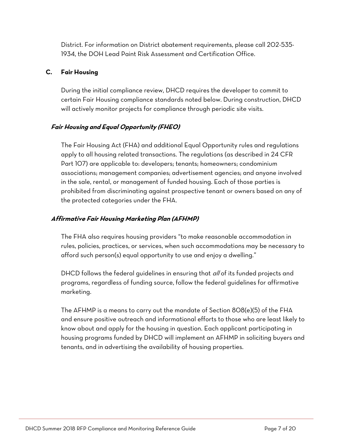District. For information on District abatement requirements, please call 202-535- 1934, the DOH Lead Paint Risk Assessment and Certification Office.

#### <span id="page-6-0"></span>**C. Fair Housing**

During the initial compliance review, DHCD requires the developer to commit to certain Fair Housing compliance standards noted below. During construction, DHCD will actively monitor projects for compliance through periodic site visits.

#### **Fair Housing and Equal Opportunity (FHEO)**

The Fair Housing Act (FHA) and additional Equal Opportunity rules and regulations apply to all housing related transactions. The regulations (as described in 24 CFR Part 107) are applicable to: developers; tenants; homeowners; condominium associations; management companies; advertisement agencies; and anyone involved in the sale, rental, or management of funded housing. Each of those parties is prohibited from discriminating against prospective tenant or owners based on any of the protected categories under the FHA.

#### **Affirmative Fair Housing Marketing Plan (AFHMP)**

The FHA also requires housing providers "to make reasonable accommodation in rules, policies, practices, or services, when such accommodations may be necessary to afford such person(s) equal opportunity to use and enjoy a dwelling."

DHCD follows the federal guidelines in ensuring that all of its funded projects and programs, regardless of funding source, follow the federal guidelines for affirmative marketing.

The AFHMP is a means to carry out the mandate of Section 808(e)(5) of the FHA and ensure positive outreach and informational efforts to those who are least likely to know about and apply for the housing in question. Each applicant participating in housing programs funded by DHCD will implement an AFHMP in soliciting buyers and tenants, and in advertising the availability of housing properties.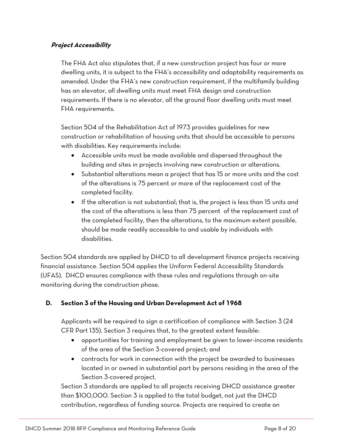#### **Project Accessibility**

The FHA Act also stipulates that, if a new construction project has four or more dwelling units, it is subject to the FHA's accessibility and adaptability requirements as amended. Under the FHA's new construction requirement, if the multifamily building has an elevator, all dwelling units must meet FHA design and construction requirements. If there is no elevator, all the ground floor dwelling units must meet FHA requirements.

Section 504 of the Rehabilitation Act of 1973 provides guidelines for new construction or rehabilitation of housing units that should be accessible to persons with disabilities. Key requirements include:

- Accessible units must be made available and dispersed throughout the building and sites in projects involving new construction or alterations.
- Substantial alterations mean a project that has 15 or more units and the cost of the alterations is 75 percent or more of the replacement cost of the completed facility.
- If the alteration is not substantial; that is, the project is less than 15 units and the cost of the alterations is less than 75 percent of the replacement cost of the completed facility, then the alterations, to the maximum extent possible, should be made readily accessible to and usable by individuals with disabilities.

Section 504 standards are applied by DHCD to all development finance projects receiving financial assistance. Section 504 applies the Uniform Federal Accessibility Standards (UFAS). DHCD ensures compliance with these rules and regulations through on-site monitoring during the construction phase.

#### <span id="page-7-0"></span>**D. Section 3 of the Housing and Urban Development Act of 1968**

Applicants will be required to sign a certification of compliance with Section 3 (24 CFR Part 135). Section 3 requires that, to the greatest extent feasible:

- opportunities for training and employment be given to lower-income residents of the area of the Section 3-covered project; and
- contracts for work in connection with the project be awarded to businesses located in or owned in substantial part by persons residing in the area of the Section 3-covered project.

Section 3 standards are applied to all projects receiving DHCD assistance greater than \$100,000. Section 3 is applied to the total budget, not just the DHCD contribution, regardless of funding source. Projects are required to create an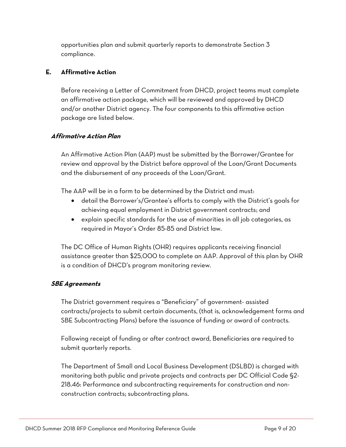opportunities plan and submit quarterly reports to demonstrate Section 3 compliance.

#### <span id="page-8-0"></span>**E. Affirmative Action**

Before receiving a Letter of Commitment from DHCD, project teams must complete an affirmative action package, which will be reviewed and approved by DHCD and/or another District agency. The four components to this affirmative action package are listed below.

#### **Affirmative Action Plan**

An Affirmative Action Plan (AAP) must be submitted by the Borrower/Grantee for review and approval by the District before approval of the Loan/Grant Documents and the disbursement of any proceeds of the Loan/Grant.

The AAP will be in a form to be determined by the District and must:

- detail the Borrower's/Grantee's efforts to comply with the District's goals for achieving equal employment in District government contracts; and
- explain specific standards for the use of minorities in all job categories, as required in Mayor's Order 85-85 and District law.

The DC Office of Human Rights (OHR) requires applicants receiving financial assistance greater than \$25,000 to complete an AAP. Approval of this plan by OHR is a condition of DHCD's program monitoring review.

#### **SBE Agreements**

The District government requires a "Beneficiary" of government- assisted contracts/projects to submit certain documents, (that is, acknowledgement forms and SBE Subcontracting Plans) before the issuance of funding or award of contracts.

Following receipt of funding or after contract award, Beneficiaries are required to submit quarterly reports.

The Department of Small and Local Business Development (DSLBD) is charged with monitoring both public and private projects and contracts per DC Official Code §2- 218.46: Performance and subcontracting requirements for construction and nonconstruction contracts; subcontracting plans.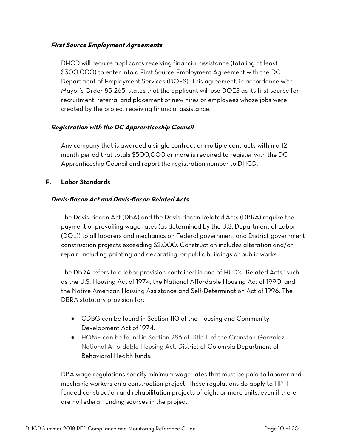#### **First Source Employment Agreements**

DHCD will require applicants receiving financial assistance (totaling at least \$300,000) to enter into a First Source Employment Agreement with the DC Department of Employment Services (DOES). This agreement, in accordance with Mayor's Order 83-265, states that the applicant will use DOES as its first source for recruitment, referral and placement of new hires or employees whose jobs were created by the project receiving financial assistance.

#### **Registration with the DC Apprenticeship Council**

Any company that is awarded a single contract or multiple contracts within a 12 month period that totals \$500,000 or more is required to register with the DC Apprenticeship Council and report the registration number to DHCD.

#### <span id="page-9-0"></span>**F. Labor Standards**

#### **Davis-Bacon Act and Davis-Bacon Related Acts**

The Davis-Bacon Act (DBA) and the Davis-Bacon Related Acts (DBRA) require the payment of prevailing wage rates (as determined by the U.S. Department of Labor (DOL)) to all laborers and mechanics on Federal government and District government construction projects exceeding \$2,000. Construction includes alteration and/or repair, including painting and decorating, or public buildings or public works.

The DBRA refers to a labor provision contained in one of HUD's "Related Acts" such as the U.S. Housing Act of 1974, the National Affordable Housing Act of 1990, and the Native American Housing Assistance and Self-Determination Act of 1996. The DBRA statutory provision for:

- CDBG can be found in Section 110 of the Housing and Community Development Act of 1974.
- HOME can be found in Section 286 of Title II of the Cranston-Gonzalez National Affordable Housing Act. District of Columbia Department of Behavioral Health funds.

DBA wage regulations specify minimum wage rates that must be paid to laborer and mechanic workers on a construction project: These regulations do apply to HPTFfunded construction and rehabilitation projects of eight or more units, even if there are no federal funding sources in the project.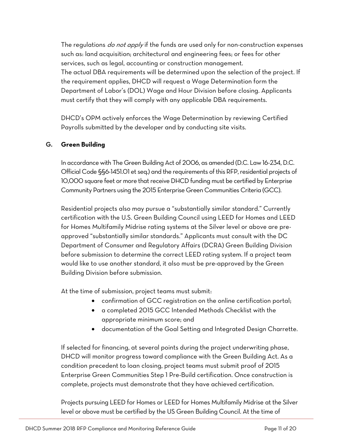The regulations *do not apply* if the funds are used only for non-construction expenses such as: land acquisition; architectural and engineering fees; or fees for other services, such as legal, accounting or construction management. The actual DBA requirements will be determined upon the selection of the project. If the requirement applies, DHCD will request a Wage Determination form the Department of Labor's (DOL) Wage and Hour Division before closing. Applicants must certify that they will comply with any applicable DBA requirements.

DHCD's OPM actively enforces the Wage Determination by reviewing Certified Payrolls submitted by the developer and by conducting site visits.

#### <span id="page-10-0"></span>**G. Green Building**

In accordance with The Green Building Act of 2006, as amended (D.C. Law 16-234, D.C. Official Code §§6-1451.01 et seq.) and the requirements of this RFP, residential projects of 10,000 square feet or more that receive DHCD funding must be certified by Enterprise Community Partners using the 2015 Enterprise Green Communities Criteria (GCC).

Residential projects also may pursue a "substantially similar standard." Currently certification with the U.S. Green Building Council using LEED for Homes and LEED for Homes Multifamily Midrise rating systems at the Silver level or above are preapproved "substantially similar standards." Applicants must consult with the DC Department of Consumer and Regulatory Affairs (DCRA) Green Building Division before submission to determine the correct LEED rating system. If a project team would like to use another standard, it also must be pre-approved by the Green Building Division before submission.

At the time of submission, project teams must submit:

- confirmation of GCC registration on the online certification portal;
- a completed 2015 GCC Intended Methods Checklist with the appropriate minimum score; and
- documentation of the Goal Setting and Integrated Design Charrette.

If selected for financing, at several points during the project underwriting phase, DHCD will monitor progress toward compliance with the Green Building Act. As a condition precedent to loan closing, project teams must submit proof of 2015 Enterprise Green Communities Step 1 Pre-Build certification. Once construction is complete, projects must demonstrate that they have achieved certification.

Projects pursuing LEED for Homes or LEED for Homes Multifamily Midrise at the Silver level or above must be certified by the US Green Building Council. At the time of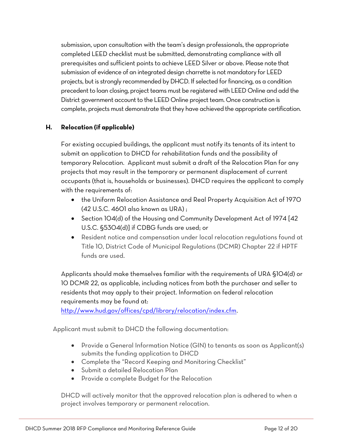submission, upon consultation with the team's design professionals, the appropriate completed LEED checklist must be submitted, demonstrating compliance with all prerequisites and sufficient points to achieve LEED Silver or above. Please note that submission of evidence of an integrated design charrette is not mandatory for LEED projects, but is strongly recommended by DHCD. If selected for financing, as a condition precedent to loan closing, project teams must be registered with LEED Online and add the District government account to the LEED Online project team. Once construction is complete, projects must demonstrate that they have achieved the appropriate certification.

#### <span id="page-11-0"></span>**H. Relocation (if applicable)**

For existing occupied buildings, the applicant must notify its tenants of its intent to submit an application to DHCD for rehabilitation funds and the possibility of temporary Relocation. Applicant must submit a draft of the Relocation Plan for any projects that may result in the temporary or permanent displacement of current occupants (that is, households or businesses). DHCD requires the applicant to comply with the requirements of:

- the Uniform Relocation Assistance and Real Property Acquisition Act of 1970 (42 U.S.C. 4601 also known as URA) ;
- Section 104(d) of the Housing and Community Development Act of 1974 [42 U.S.C. §5304(d)] if CDBG funds are used; or
- Resident notice and compensation under local relocation regulations found at Title 10, District Code of Municipal Regulations (DCMR) Chapter 22 if HPTF funds are used.

Applicants should make themselves familiar with the requirements of URA §104(d) or 10 DCMR 22, as applicable, including notices from both the purchaser and seller to residents that may apply to their project. Information on federal relocation requirements may be found at:

[http://www.hud.gov/offices/cpd/library/relocation/index.cfm.](http://www.hud.gov/offices/cpd/library/relocation/index.cfm)

Applicant must submit to DHCD the following documentation:

- Provide a General Information Notice (GIN) to tenants as soon as Applicant(s) submits the funding application to DHCD
- Complete the "Record Keeping and Monitoring Checklist"
- Submit a detailed Relocation Plan
- Provide a complete Budget for the Relocation

DHCD will actively monitor that the approved relocation plan is adhered to when a project involves temporary or permanent relocation.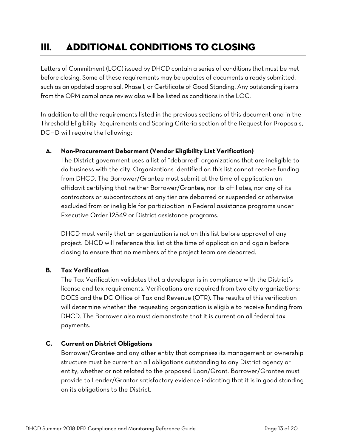## <span id="page-12-0"></span>**III.** Additional Conditions to Closing

Letters of Commitment (LOC) issued by DHCD contain a series of conditions that must be met before closing. Some of these requirements may be updates of documents already submitted, such as an updated appraisal, Phase I, or Certificate of Good Standing. Any outstanding items from the OPM compliance review also will be listed as conditions in the LOC.

In addition to all the requirements listed in the previous sections of this document and in the Threshold Eligibility Requirements and Scoring Criteria section of the Request for Proposals, DCHD will require the following:

#### <span id="page-12-1"></span>**A. Non-Procurement Debarment (Vendor Eligibility List Verification)**

The District government uses a list of "debarred" organizations that are ineligible to do business with the city. Organizations identified on this list cannot receive funding from DHCD. The Borrower/Grantee must submit at the time of application an affidavit certifying that neither Borrower/Grantee, nor its affiliates, nor any of its contractors or subcontractors at any tier are debarred or suspended or otherwise excluded from or ineligible for participation in Federal assistance programs under Executive Order 12549 or District assistance programs.

DHCD must verify that an organization is not on this list before approval of any project. DHCD will reference this list at the time of application and again before closing to ensure that no members of the project team are debarred.

#### <span id="page-12-2"></span>**B. Tax Verification**

The Tax Verification validates that a developer is in compliance with the District's license and tax requirements. Verifications are required from two city organizations: DOES and the DC Office of Tax and Revenue (OTR). The results of this verification will determine whether the requesting organization is eligible to receive funding from DHCD. The Borrower also must demonstrate that it is current on all federal tax payments.

#### <span id="page-12-3"></span>**C. Current on District Obligations**

Borrower/Grantee and any other entity that comprises its management or ownership structure must be current on all obligations outstanding to any District agency or entity, whether or not related to the proposed Loan/Grant. Borrower/Grantee must provide to Lender/Grantor satisfactory evidence indicating that it is in good standing on its obligations to the District.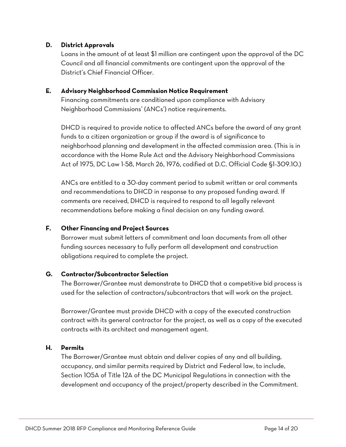#### <span id="page-13-0"></span>**D. District Approvals**

Loans in the amount of at least \$1 million are contingent upon the approval of the DC Council and all financial commitments are contingent upon the approval of the District's Chief Financial Officer.

#### <span id="page-13-1"></span>**E. Advisory Neighborhood Commission Notice Requirement**

Financing commitments are conditioned upon compliance with Advisory Neighborhood Commissions' (ANCs') notice requirements.

DHCD is required to provide notice to affected ANCs before the award of any grant funds to a citizen organization or group if the award is of significance to neighborhood planning and development in the affected commission area. (This is in accordance with the Home Rule Act and the Advisory Neighborhood Commissions Act of 1975, DC Law 1-58, March 26, 1976, codified at D.C. Official Code §1-309.10.)

ANCs are entitled to a 30-day comment period to submit written or oral comments and recommendations to DHCD in response to any proposed funding award. If comments are received, DHCD is required to respond to all legally relevant recommendations before making a final decision on any funding award.

#### <span id="page-13-2"></span>**F. Other Financing and Project Sources**

Borrower must submit letters of commitment and loan documents from all other funding sources necessary to fully perform all development and construction obligations required to complete the project.

#### <span id="page-13-3"></span>**G. Contractor/Subcontractor Selection**

The Borrower/Grantee must demonstrate to DHCD that a competitive bid process is used for the selection of contractors/subcontractors that will work on the project.

Borrower/Grantee must provide DHCD with a copy of the executed construction contract with its general contractor for the project, as well as a copy of the executed contracts with its architect and management agent.

#### <span id="page-13-4"></span>**H. Permits**

The Borrower/Grantee must obtain and deliver copies of any and all building, occupancy, and similar permits required by District and Federal law, to include, Section 105A of Title 12A of the DC Municipal Regulations in connection with the development and occupancy of the project/property described in the Commitment.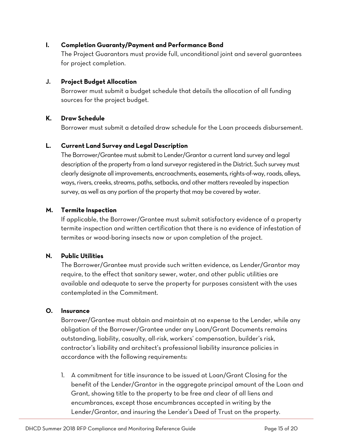#### <span id="page-14-0"></span>**I. Completion Guaranty/Payment and Performance Bond**

The Project Guarantors must provide full, unconditional joint and several guarantees for project completion.

#### <span id="page-14-1"></span>**J. Project Budget Allocation**

Borrower must submit a budget schedule that details the allocation of all funding sources for the project budget.

#### <span id="page-14-2"></span>**K. Draw Schedule**

Borrower must submit a detailed draw schedule for the Loan proceeds disbursement.

#### <span id="page-14-3"></span>**L. Current Land Survey and Legal Description**

The Borrower/Grantee must submit to Lender/Grantor a current land survey and legal description of the property from a land surveyor registered in the District. Such survey must clearly designate all improvements, encroachments, easements, rights-of-way, roads, alleys, ways, rivers, creeks, streams, paths, setbacks, and other matters revealed by inspection survey, as well as any portion of the property that may be covered by water.

#### <span id="page-14-4"></span>**M. Termite Inspection**

If applicable, the Borrower/Grantee must submit satisfactory evidence of a property termite inspection and written certification that there is no evidence of infestation of termites or wood-boring insects now or upon completion of the project.

#### <span id="page-14-5"></span>**N. Public Utilities**

The Borrower/Grantee must provide such written evidence, as Lender/Grantor may require, to the effect that sanitary sewer, water, and other public utilities are available and adequate to serve the property for purposes consistent with the uses contemplated in the Commitment.

#### <span id="page-14-6"></span>**O. Insurance**

Borrower/Grantee must obtain and maintain at no expense to the Lender, while any obligation of the Borrower/Grantee under any Loan/Grant Documents remains outstanding, liability, casualty, all-risk, workers' compensation, builder's risk, contractor's liability and architect's professional liability insurance policies in accordance with the following requirements:

1. A commitment for title insurance to be issued at Loan/Grant Closing for the benefit of the Lender/Grantor in the aggregate principal amount of the Loan and Grant, showing title to the property to be free and clear of all liens and encumbrances, except those encumbrances accepted in writing by the Lender/Grantor, and insuring the Lender's Deed of Trust on the property.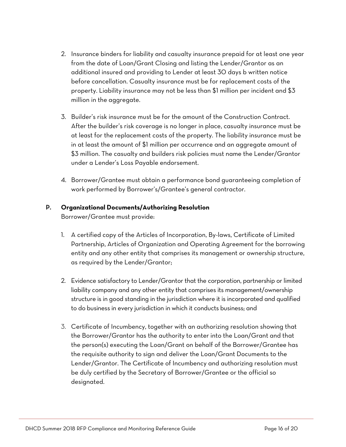- 2. Insurance binders for liability and casualty insurance prepaid for at least one year from the date of Loan/Grant Closing and listing the Lender/Grantor as an additional insured and providing to Lender at least 30 days b written notice before cancellation. Casualty insurance must be for replacement costs of the property. Liability insurance may not be less than \$1 million per incident and \$3 million in the aggregate.
- 3. Builder's risk insurance must be for the amount of the Construction Contract. After the builder's risk coverage is no longer in place, casualty insurance must be at least for the replacement costs of the property. The liability insurance must be in at least the amount of \$1 million per occurrence and an aggregate amount of \$3 million. The casualty and builders risk policies must name the Lender/Grantor under a Lender's Loss Payable endorsement.
- 4. Borrower/Grantee must obtain a performance bond guaranteeing completion of work performed by Borrower's/Grantee's general contractor.

#### <span id="page-15-0"></span>**P. Organizational Documents/Authorizing Resolution**

Borrower/Grantee must provide:

- 1. A certified copy of the Articles of Incorporation, By-laws, Certificate of Limited Partnership, Articles of Organization and Operating Agreement for the borrowing entity and any other entity that comprises its management or ownership structure, as required by the Lender/Grantor;
- 2. Evidence satisfactory to Lender/Grantor that the corporation, partnership or limited liability company and any other entity that comprises its management/ownership structure is in good standing in the jurisdiction where it is incorporated and qualified to do business in every jurisdiction in which it conducts business; and
- 3. Certificate of Incumbency, together with an authorizing resolution showing that the Borrower/Grantor has the authority to enter into the Loan/Grant and that the person(s) executing the Loan/Grant on behalf of the Borrower/Grantee has the requisite authority to sign and deliver the Loan/Grant Documents to the Lender/Grantor. The Certificate of Incumbency and authorizing resolution must be duly certified by the Secretary of Borrower/Grantee or the official so designated.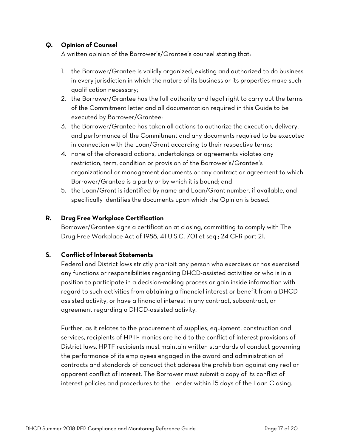#### <span id="page-16-0"></span>**Q. Opinion of Counsel**

A written opinion of the Borrower's/Grantee's counsel stating that:

- 1. the Borrower/Grantee is validly organized, existing and authorized to do business in every jurisdiction in which the nature of its business or its properties make such qualification necessary;
- 2. the Borrower/Grantee has the full authority and legal right to carry out the terms of the Commitment letter and all documentation required in this Guide to be executed by Borrower/Grantee;
- 3. the Borrower/Grantee has taken all actions to authorize the execution, delivery, and performance of the Commitment and any documents required to be executed in connection with the Loan/Grant according to their respective terms;
- 4. none of the aforesaid actions, undertakings or agreements violates any restriction, term, condition or provision of the Borrower's/Grantee's organizational or management documents or any contract or agreement to which Borrower/Grantee is a party or by which it is bound; and
- 5. the Loan/Grant is identified by name and Loan/Grant number, if available, and specifically identifies the documents upon which the Opinion is based.

#### <span id="page-16-1"></span>**R. Drug Free Workplace Certification**

Borrower/Grantee signs a certification at closing, committing to comply with The Drug Free Workplace Act of 1988, 41 U.S.C. 701 et seq.; 24 CFR part 21.

#### <span id="page-16-2"></span>**S. Conflict of Interest Statements**

Federal and District laws strictly prohibit any person who exercises or has exercised any functions or responsibilities regarding DHCD-assisted activities or who is in a position to participate in a decision-making process or gain inside information with regard to such activities from obtaining a financial interest or benefit from a DHCDassisted activity, or have a financial interest in any contract, subcontract, or agreement regarding a DHCD-assisted activity.

Further, as it relates to the procurement of supplies, equipment, construction and services, recipients of HPTF monies are held to the conflict of interest provisions of District laws. HPTF recipients must maintain written standards of conduct governing the performance of its employees engaged in the award and administration of contracts and standards of conduct that address the prohibition against any real or apparent conflict of interest. The Borrower must submit a copy of its conflict of interest policies and procedures to the Lender within 15 days of the Loan Closing.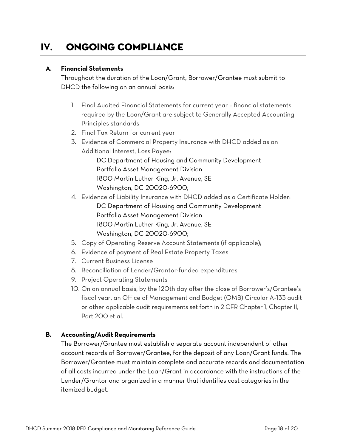## <span id="page-17-0"></span>**IV.** Ongoing Compliance

#### <span id="page-17-1"></span>**A. Financial Statements**

Throughout the duration of the Loan/Grant, Borrower/Grantee must submit to DHCD the following on an annual basis:

- 1. Final Audited Financial Statements for current year financial statements required by the Loan/Grant are subject to Generally Accepted Accounting Principles standards
- 2. Final Tax Return for current year
- 3. Evidence of Commercial Property Insurance with DHCD added as an Additional Interest, Loss Payee:

DC Department of Housing and Community Development Portfolio Asset Management Division 1800 Martin Luther King, Jr. Avenue, SE Washington, DC 20020-6900;

4. Evidence of Liability Insurance with DHCD added as a Certificate Holder:

DC Department of Housing and Community Development Portfolio Asset Management Division 1800 Martin Luther King, Jr. Avenue, SE Washington, DC 20020-6900;

- 5. Copy of Operating Reserve Account Statements (if applicable);
- 6. Evidence of payment of Real Estate Property Taxes
- 7. Current Business License
- 8. Reconciliation of Lender/Grantor-funded expenditures
- 9. Project Operating Statements
- 10. On an annual basis, by the 120th day after the close of Borrower's/Grantee's fiscal year, an Office of Management and Budget (OMB) Circular A-133 audit or other applicable audit requirements set forth in 2 CFR Chapter 1, Chapter II, Part 200 et al.

#### <span id="page-17-2"></span>**B. Accounting/Audit Requirements**

The Borrower/Grantee must establish a separate account independent of other account records of Borrower/Grantee, for the deposit of any Loan/Grant funds. The Borrower/Grantee must maintain complete and accurate records and documentation of all costs incurred under the Loan/Grant in accordance with the instructions of the Lender/Grantor and organized in a manner that identifies cost categories in the itemized budget.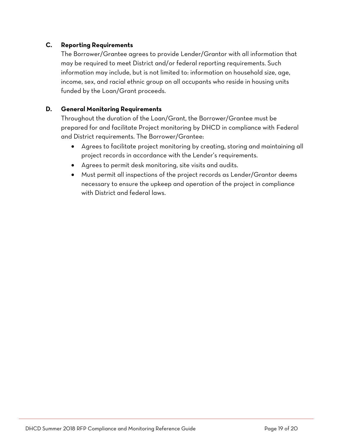#### <span id="page-18-0"></span>**C. Reporting Requirements**

The Borrower/Grantee agrees to provide Lender/Grantor with all information that may be required to meet District and/or federal reporting requirements. Such information may include, but is not limited to: information on household size, age, income, sex, and racial ethnic group on all occupants who reside in housing units funded by the Loan/Grant proceeds.

#### <span id="page-18-1"></span>**D. General Monitoring Requirements**

Throughout the duration of the Loan/Grant, the Borrower/Grantee must be prepared for and facilitate Project monitoring by DHCD in compliance with Federal and District requirements. The Borrower/Grantee:

- Agrees to facilitate project monitoring by creating, storing and maintaining all project records in accordance with the Lender's requirements.
- Agrees to permit desk monitoring, site visits and audits.
- Must permit all inspections of the project records as Lender/Grantor deems necessary to ensure the upkeep and operation of the project in compliance with District and federal laws.